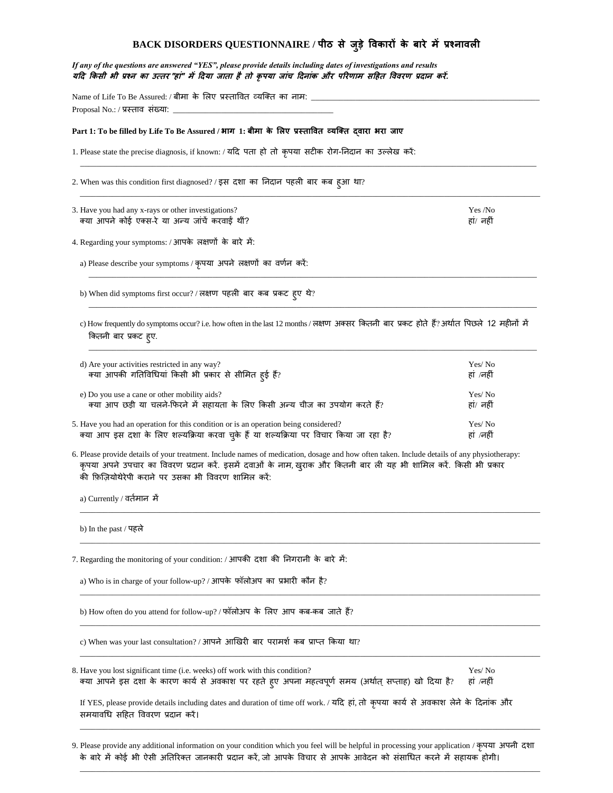| BACK DISORDERS QUESTIONNAIRE / पीठ से जुड़े विकारों के बारे में प्रश्नावली                                                                                                                                                                                                                                              |                      |
|-------------------------------------------------------------------------------------------------------------------------------------------------------------------------------------------------------------------------------------------------------------------------------------------------------------------------|----------------------|
| If any of the questions are answered "YES", please provide details including dates of investigations and results<br>यदि किसी भी प्रश्न का उत्तर "हां" में दिया जाता है तो कृपया जांच दिनांक और परिणाम सहित विवरण प्रदान करें.                                                                                           |                      |
| Name of Life To Be Assured: / बीमा के लिए प्रस्तावित व्यक्ति का नाम: _________________<br>Proposal No.: / प्रस्ताव संख्या:                                                                                                                                                                                              |                      |
| Part 1: To be filled by Life To Be Assured / भाग 1: बीमा के लिए प्रस्तावित व्यक्ति द्वारा भरा जाए                                                                                                                                                                                                                       |                      |
| 1. Please state the precise diagnosis, if known: / यदि पता हो तो कृपया सटीक रोग-निदान का उल्लेख करें:                                                                                                                                                                                                                   |                      |
| 2. When was this condition first diagnosed? / इस दशा का निदान पहली बार कब हुआ था?                                                                                                                                                                                                                                       |                      |
| 3. Have you had any x-rays or other investigations?<br>क्या आपने कोई एक्स-रे या अन्य जांचें करवाई थीं?                                                                                                                                                                                                                  | Yes /No<br>हां/ नहीं |
| 4. Regarding your symptoms: / आपके लक्षणों के बारे में:                                                                                                                                                                                                                                                                 |                      |
| a) Please describe your symptoms / कृपया अपने लक्षणों का वर्णन करें:                                                                                                                                                                                                                                                    |                      |
| b) When did symptoms first occur? / लक्षण पहली बार कब प्रकट ह्ए थे?                                                                                                                                                                                                                                                     |                      |
| c) How frequently do symptoms occur? i.e. how often in the last 12 months / लक्षण अक्सर कितनी बार प्रकट होते हैं? अर्थात पिछले 12 महीनों में<br>कितनी बार प्रकट ह्ए.                                                                                                                                                    |                      |
| d) Are your activities restricted in any way?<br>क्या आपकी गतिविधियां किसी भी प्रकार से सीमित हुई हैं?                                                                                                                                                                                                                  | Yes/No<br>हां ⁄नहीं  |
| e) Do you use a cane or other mobility aids?<br>क्या आप छड़ी या चलने-फिरने में सहायता के लिए किसी अन्य चीज का उपयोग करते हैं?                                                                                                                                                                                           | Yes/No<br>हां/ नहीं  |
| 5. Have you had an operation for this condition or is an operation being considered?<br>क्या आप इस दशा के लिए शल्यक्रिया करवा चुके हैं या शल्यक्रिया पर विचार किया जा रहा है?                                                                                                                                           | Yes/No<br>हां /नहीं  |
| 6. Please provide details of your treatment. Include names of medication, dosage and how often taken. Include details of any physiotherapy:<br>कृपया अपने उपचार का विवरण प्रदान करें. इसमें दवाओं के नाम, खुराक और कितनी बार ली यह भी शामिल करें. किसी भी प्रकार<br>की फ़िजियोथेरेपी कराने पर उसका भी विवरण शामिल करें: |                      |
| a) Currently / वर्तमान  में                                                                                                                                                                                                                                                                                             |                      |
| b) In the past / पहले                                                                                                                                                                                                                                                                                                   |                      |
| 7. Regarding the monitoring of your condition: / आपकी दशा की निगरानी के बारे में:                                                                                                                                                                                                                                       |                      |
| a) Who is in charge of your follow-up? / आपके फॉलोअप का प्रभारी कौन है?                                                                                                                                                                                                                                                 |                      |
| b) How often do you attend for follow-up? / फॉलोअप के लिए आप कब-कब जाते हैं?                                                                                                                                                                                                                                            |                      |
| c) When was your last consultation? / आपने आखिरी बार परामर्श कब प्राप्त किया था?                                                                                                                                                                                                                                        |                      |
| 8. Have you lost significant time (i.e. weeks) off work with this condition?<br>क्या आपने इस दशा के कारण कार्य से अवकाश पर रहते हूए अपना महत्वपूर्ण समय (अर्थात् सप्ताह) खो दिया है?                                                                                                                                    | Yes/No<br>हां ⁄नहीं  |

If YES, please provide details including dates and duration of time off work. / यदि हां, तो कृपया कार्य से अवकाश लेने के दिनांक और समयावधि सहित विवरण प्रदान करें।

9. Please provide any additional information on your condition which you feel will be helpful in processing your application / कृपया अपनी दशा के बारे में कोई भी ऐसी अतिरिक्त जानकारी प्रदान करें, जो आपके विचार से आपके आवेदन को संसाधित करने में सहायक होगी।

\_\_\_\_\_\_\_\_\_\_\_\_\_\_\_\_\_\_\_\_\_\_\_\_\_\_\_\_\_\_\_\_\_\_\_\_\_\_\_\_\_\_\_\_\_\_\_\_\_\_\_\_\_\_\_\_\_\_\_\_\_\_\_\_\_\_\_\_\_\_\_\_\_\_\_\_\_\_\_\_\_\_\_\_\_\_\_\_\_\_\_\_\_\_\_\_\_\_\_\_\_\_\_\_\_\_\_\_\_\_\_\_\_\_\_

\_\_\_\_\_\_\_\_\_\_\_\_\_\_\_\_\_\_\_\_\_\_\_\_\_\_\_\_\_\_\_\_\_\_\_\_\_\_\_\_\_\_\_\_\_\_\_\_\_\_\_\_\_\_\_\_\_\_\_\_\_\_\_\_\_\_\_\_\_\_\_\_\_\_\_\_\_\_\_\_\_\_\_\_\_\_\_\_\_\_\_\_\_\_\_\_\_\_\_\_\_\_\_\_\_\_\_\_\_\_\_\_\_\_\_